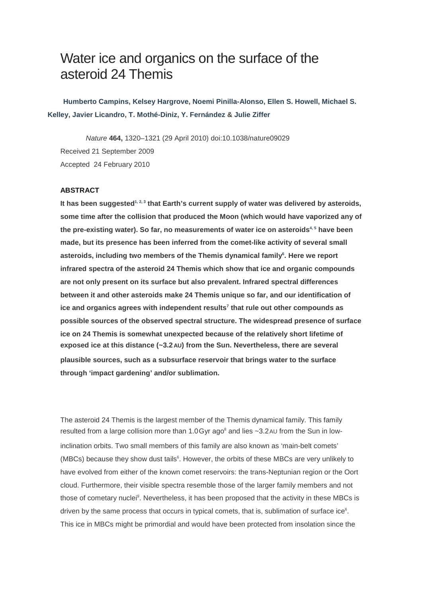# Water ice and organics on the surface of the asteroid 24 Themis

 **Humberto Campins, Kelsey Hargrove, Noemi Pinilla-Alonso, Ellen S. Howell, Michael S. Kelley, Javier Licandro, T. Mothé-Diniz, Y. Fernández & Julie Ziffer**

Nature **464,** 1320–1321 (29 April 2010) doi:10.1038/nature09029 Received 21 September 2009 Accepted 24 February 2010

## **ABSTRACT**

It has been suggested<sup>1, 2, 3</sup> that Earth's current supply of water was delivered by asteroids, **some time after the collision that produced the Moon (which would have vaporized any of the pre-existing water). So far, no measurements of water ice on asteroids4, 5 have been made, but its presence has been inferred from the comet-like activity of several small asteroids, including two members of the Themis dynamical family<sup>6</sup> . Here we report infrared spectra of the asteroid 24 Themis which show that ice and organic compounds are not only present on its surface but also prevalent. Infrared spectral differences between it and other asteroids make 24 Themis unique so far, and our identification of ice and organics agrees with independent results<sup>7</sup> that rule out other compounds as possible sources of the observed spectral structure. The widespread presence of surface ice on 24 Themis is somewhat unexpected because of the relatively short lifetime of exposed ice at this distance (~3.2 AU) from the Sun. Nevertheless, there are several plausible sources, such as a subsurface reservoir that brings water to the surface through 'impact gardening' and/or sublimation.** 

The asteroid 24 Themis is the largest member of the Themis dynamical family. This family resulted from a large collision more than  $1.0$ Gyr ago<sup>8</sup> and lies ~3.2AU from the Sun in lowinclination orbits. Two small members of this family are also known as 'main-belt comets' (MBCs) because they show dust tails<sup>6</sup>. However, the orbits of these MBCs are very unlikely to have evolved from either of the known comet reservoirs: the trans-Neptunian region or the Oort cloud. Furthermore, their visible spectra resemble those of the larger family members and not those of cometary nuclei<sup>9</sup>. Nevertheless, it has been proposed that the activity in these MBCs is driven by the same process that occurs in typical comets, that is, sublimation of surface ice $<sup>6</sup>$ .</sup> This ice in MBCs might be primordial and would have been protected from insolation since the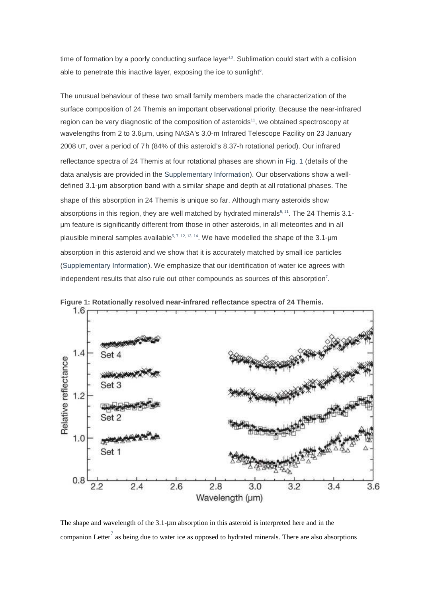time of formation by a poorly conducting surface layer<sup>10</sup>. Sublimation could start with a collision able to penetrate this inactive layer, exposing the ice to sunlight<sup>6</sup>.

The unusual behaviour of these two small family members made the characterization of the surface composition of 24 Themis an important observational priority. Because the near-infrared region can be very diagnostic of the composition of asteroids<sup>11</sup>, we obtained spectroscopy at wavelengths from 2 to 3.6 μm, using NASA's 3.0-m Infrared Telescope Facility on 23 January 2008 UT, over a period of 7h (84% of this asteroid's 8.37-h rotational period). Our infrared reflectance spectra of 24 Themis at four rotational phases are shown in Fig. 1 (details of the data analysis are provided in the Supplementary Information). Our observations show a welldefined 3.1-μm absorption band with a similar shape and depth at all rotational phases. The shape of this absorption in 24 Themis is unique so far. Although many asteroids show absorptions in this region, they are well matched by hydrated minerals<sup>5, 11</sup>. The 24 Themis 3.1μm feature is significantly different from those in other asteroids, in all meteorites and in all plausible mineral samples available<sup>5, 7, 12, 13, 14</sup>. We have modelled the shape of the 3.1-um absorption in this asteroid and we show that it is accurately matched by small ice particles (Supplementary Information). We emphasize that our identification of water ice agrees with independent results that also rule out other compounds as sources of this absorption<sup>7</sup>.



**Figure 1: Rotationally resolved near-infrared reflectance spectra of 24 Themis.** 

The shape and wavelength of the 3.1-μm absorption in this asteroid is interpreted here and in the companion Letter<sup>7</sup> as being due to water ice as opposed to hydrated minerals. There are also absorptions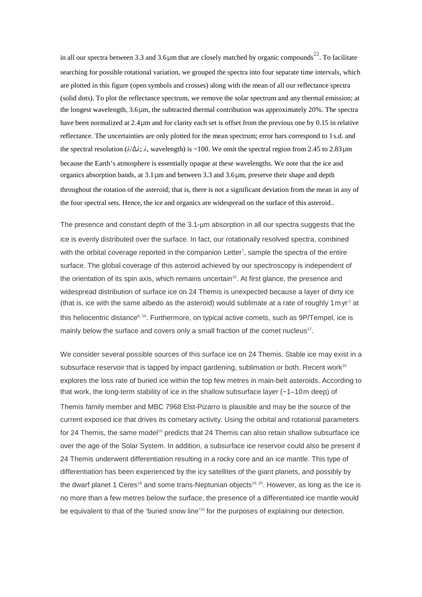in all our spectra between 3.3 and 3.6 $\mu$ m that are closely matched by organic compounds<sup>22</sup>. To facilitate searching for possible rotational variation, we grouped the spectra into four separate time intervals, which are plotted in this figure (open symbols and crosses) along with the mean of all our reflectance spectra (solid dots). To plot the reflectance spectrum, we remove the solar spectrum and any thermal emission; at the longest wavelength, 3.6 μm, the subtracted thermal contribution was approximately 20%. The spectra have been normalized at 2.4 μm and for clarity each set is offset from the previous one by 0.15 in relative reflectance. The uncertainties are only plotted for the mean spectrum; error bars correspond to 1s.d. and the spectral resolution (*λ*/Δ*λ*; *λ*, wavelength) is ~100. We omit the spectral region from 2.45 to 2.83 μm because the Earth's atmosphere is essentially opaque at these wavelengths. We note that the ice and organics absorption bands, at 3.1 μm and between 3.3 and 3.6 μm, preserve their shape and depth throughout the rotation of the asteroid; that is, there is not a significant deviation from the mean in any of the four spectral sets. Hence, the ice and organics are widespread on the surface of this asteroid..

The presence and constant depth of the 3.1-μm absorption in all our spectra suggests that the ice is evenly distributed over the surface. In fact, our rotationally resolved spectra, combined with the orbital coverage reported in the companion Letter<sup>7</sup>, sample the spectra of the entire surface. The global coverage of this asteroid achieved by our spectroscopy is independent of the orientation of its spin axis, which remains uncertain<sup>15</sup>. At first glance, the presence and widespread distribution of surface ice on 24 Themis is unexpected because a layer of dirty ice (that is, ice with the same albedo as the asteroid) would sublimate at a rate of roughly 1 myr<sup>-1</sup> at this heliocentric distance<sup>6, 16</sup>. Furthermore, on typical active comets, such as 9P/Tempel, ice is mainly below the surface and covers only a small fraction of the comet nucleus<sup>17</sup>.

We consider several possible sources of this surface ice on 24 Themis. Stable ice may exist in a subsurface reservoir that is tapped by impact gardening, sublimation or both. Recent work<sup>10</sup> explores the loss rate of buried ice within the top few metres in main-belt asteroids. According to that work, the long-term stability of ice in the shallow subsurface layer  $(-1)$ –10m deep) of Themis family member and MBC 7968 Elst-Pizarro is plausible and may be the source of the current exposed ice that drives its cometary activity. Using the orbital and rotational parameters for 24 Themis, the same model<sup>10</sup> predicts that 24 Themis can also retain shallow subsurface ice over the age of the Solar System. In addition, a subsurface ice reservoir could also be present if 24 Themis underwent differentiation resulting in a rocky core and an ice mantle. This type of differentiation has been experienced by the icy satellites of the giant planets, and possibly by the dwarf planet 1 Ceres<sup>18</sup> and some trans-Neptunian objects<sup>19, 20</sup>. However, as long as the ice is no more than a few metres below the surface, the presence of a differentiated ice mantle would be equivalent to that of the 'buried snow line'<sup>10</sup> for the purposes of explaining our detection.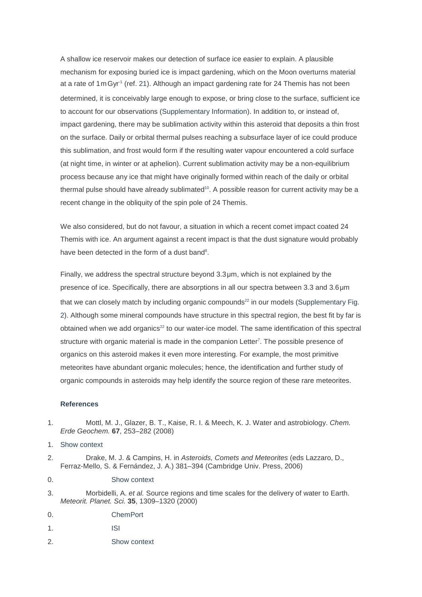A shallow ice reservoir makes our detection of surface ice easier to explain. A plausible mechanism for exposing buried ice is impact gardening, which on the Moon overturns material at a rate of  $1 \text{mGyr}^1$  (ref. 21). Although an impact gardening rate for 24 Themis has not been determined, it is conceivably large enough to expose, or bring close to the surface, sufficient ice to account for our observations (Supplementary Information). In addition to, or instead of, impact gardening, there may be sublimation activity within this asteroid that deposits a thin frost on the surface. Daily or orbital thermal pulses reaching a subsurface layer of ice could produce this sublimation, and frost would form if the resulting water vapour encountered a cold surface (at night time, in winter or at aphelion). Current sublimation activity may be a non-equilibrium process because any ice that might have originally formed within reach of the daily or orbital thermal pulse should have already sublimated<sup>10</sup>. A possible reason for current activity may be a recent change in the obliquity of the spin pole of 24 Themis.

We also considered, but do not favour, a situation in which a recent comet impact coated 24 Themis with ice. An argument against a recent impact is that the dust signature would probably have been detected in the form of a dust band<sup>8</sup>.

Finally, we address the spectral structure beyond 3.3 μm, which is not explained by the presence of ice. Specifically, there are absorptions in all our spectra between 3.3 and 3.6 μm that we can closely match by including organic compounds $^{22}$  in our models (Supplementary Fig. 2). Although some mineral compounds have structure in this spectral region, the best fit by far is obtained when we add organics $^{22}$  to our water-ice model. The same identification of this spectral structure with organic material is made in the companion Letter<sup>7</sup>. The possible presence of organics on this asteroid makes it even more interesting. For example, the most primitive meteorites have abundant organic molecules; hence, the identification and further study of organic compounds in asteroids may help identify the source region of these rare meteorites.

#### **References**

- 1. Mottl, M. J., Glazer, B. T., Kaise, R. I. & Meech, K. J. Water and astrobiology. Chem. Erde Geochem. **67**, 253–282 (2008)
- 1. Show context
- 2. Drake, M. J. & Campins, H. in Asteroids, Comets and Meteorites (eds Lazzaro, D., Ferraz-Mello, S. & Fernández, J. A.) 381–394 (Cambridge Univ. Press, 2006)
- 0. Show context
- 3. Morbidelli, A. et al. Source regions and time scales for the delivery of water to Earth. Meteorit. Planet. Sci. **35**, 1309–1320 (2000)
- 0. ChemPort
- 1. ISI
- 2. Show context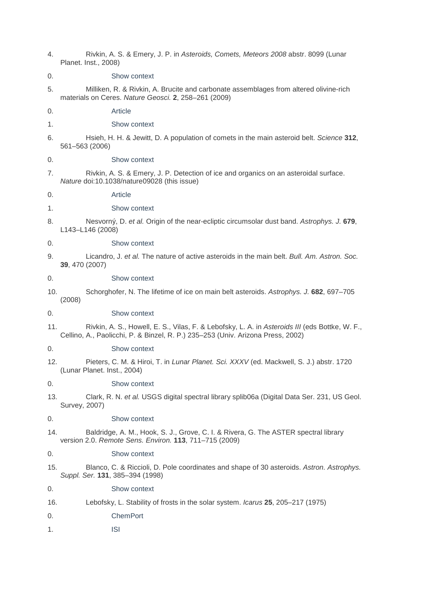- 4. Rivkin, A. S. & Emery, J. P. in Asteroids, Comets, Meteors 2008 abstr. 8099 (Lunar Planet. Inst., 2008)
- 0. Show context
- 5. Milliken, R. & Rivkin, A. Brucite and carbonate assemblages from altered olivine-rich materials on Ceres. Nature Geosci. **2**, 258–261 (2009)
- 0. Article
- 1. Show context
- 6. Hsieh, H. H. & Jewitt, D. A population of comets in the main asteroid belt. Science **312**, 561–563 (2006)
- 0. Show context
- 7. Rivkin, A. S. & Emery, J. P. Detection of ice and organics on an asteroidal surface. Nature doi:10.1038/nature09028 (this issue)
- 0. Article
- 1. Show context
- 8. Nesvorný, D. et al. Origin of the near-ecliptic circumsolar dust band. Astrophys. J. **679**, L143–L146 (2008)
- 0. Show context
- 9. Licandro, J. et al. The nature of active asteroids in the main belt. Bull. Am. Astron. Soc. **39**, 470 (2007)
- 0. Show context
- 10. Schorghofer, N. The lifetime of ice on main belt asteroids. Astrophys. J. **682**, 697–705 (2008)
- 0. Show context
- 11. Rivkin, A. S., Howell, E. S., Vilas, F. & Lebofsky, L. A. in Asteroids III (eds Bottke, W. F., Cellino, A., Paolicchi, P. & Binzel, R. P.) 235–253 (Univ. Arizona Press, 2002)
- 0. Show context
- 12. Pieters, C. M. & Hiroi, T. in Lunar Planet. Sci. XXXV (ed. Mackwell, S. J.) abstr. 1720 (Lunar Planet. Inst., 2004)
- 0. Show context
- 13. Clark, R. N. et al. USGS digital spectral library splib06a (Digital Data Ser. 231, US Geol. Survey, 2007)
- 0. Show context
- 14. Baldridge, A. M., Hook, S. J., Grove, C. I. & Rivera, G. The ASTER spectral library version 2.0. Remote Sens. Environ. **113**, 711–715 (2009)

0. Show context

15. Blanco, C. & Riccioli, D. Pole coordinates and shape of 30 asteroids. Astron. Astrophys. Suppl. Ser. **131**, 385–394 (1998)

0. Show context

- 16. Lebofsky, L. Stability of frosts in the solar system. Icarus **25**, 205–217 (1975)
- 0. ChemPort
- 1. ISI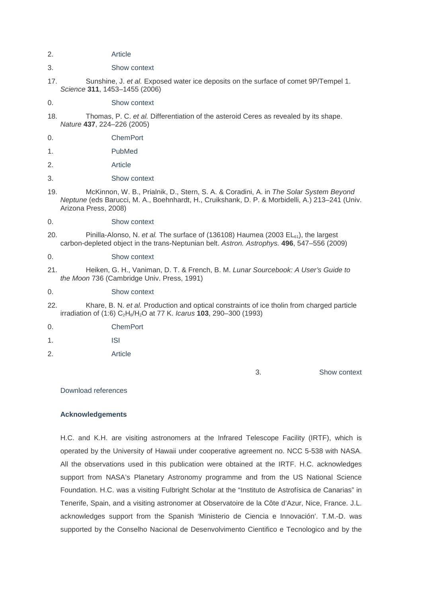- 2. Article
- 3. Show context
- 17. Sunshine, J. et al. Exposed water ice deposits on the surface of comet 9P/Tempel 1. Science **311**, 1453–1455 (2006)
- 0. Show context
- 18. Thomas, P. C. et al. Differentiation of the asteroid Ceres as revealed by its shape. Nature **437**, 224–226 (2005)
- 0. ChemPort
- 1. PubMed
- 2. Article
- 3. Show context
- 19. McKinnon, W. B., Prialnik, D., Stern, S. A. & Coradini, A. in The Solar System Beyond Neptune (eds Barucci, M. A., Boehnhardt, H., Cruikshank, D. P. & Morbidelli, A.) 213–241 (Univ. Arizona Press, 2008)
- 0. Show context
- 20. Pinilla-Alonso, N. et al. The surface of (136108) Haumea (2003  $EL_{61}$ ), the largest carbon-depleted object in the trans-Neptunian belt. Astron. Astrophys. **496**, 547–556 (2009)
- 0. Show context
- 21. Heiken, G. H., Vaniman, D. T. & French, B. M. Lunar Sourcebook: A User's Guide to the Moon 736 (Cambridge Univ. Press, 1991)

#### 0. Show context

- 22. Khare, B. N. et al. Production and optical constraints of ice tholin from charged particle irradiation of (1:6) C<sub>2</sub>H<sub>6</sub>/H<sub>2</sub>O at 77 K. *Icarus* **103**, 290–300 (1993)
- 0. ChemPort
- 1. ISI
- 2. Article

3. Show context

Download references

### **Acknowledgements**

H.C. and K.H. are visiting astronomers at the Infrared Telescope Facility (IRTF), which is operated by the University of Hawaii under cooperative agreement no. NCC 5-538 with NASA. All the observations used in this publication were obtained at the IRTF. H.C. acknowledges support from NASA's Planetary Astronomy programme and from the US National Science Foundation. H.C. was a visiting Fulbright Scholar at the "Instituto de Astrofísica de Canarias" in Tenerife, Spain, and a visiting astronomer at Observatoire de la Côte d'Azur, Nice, France. J.L. acknowledges support from the Spanish 'Ministerio de Ciencia e Innovación'. T.M.-D. was supported by the Conselho Nacional de Desenvolvimento Cientifico e Tecnologico and by the